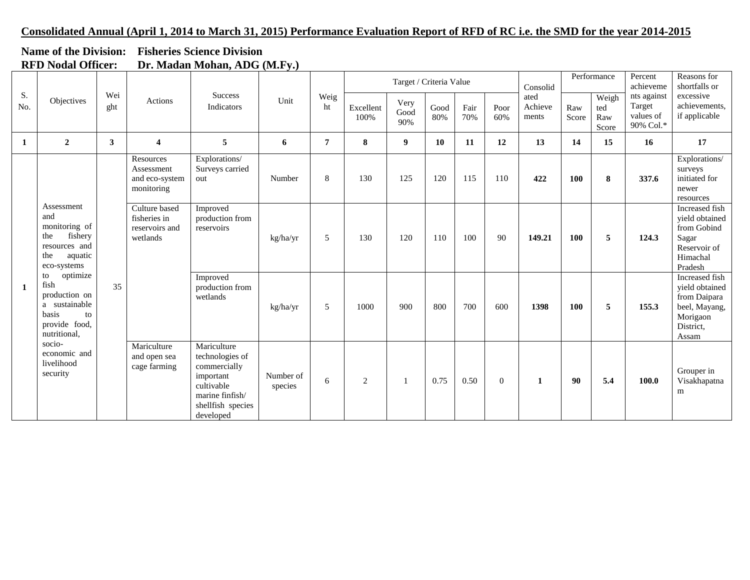## **Consolidated Annual (April 1, 2014 to March 31, 2015) Performance Evaluation Report of RFD of RC i.e. the SMD for the year 2014-2015**

|                           | Name of the Division: Fisheries Science Division |  |  |  |  |  |  |  |  |  |
|---------------------------|--------------------------------------------------|--|--|--|--|--|--|--|--|--|
| <b>RFD Nodal Officer:</b> | Dr. Madan Mohan, ADG (M.Fy.)                     |  |  |  |  |  |  |  |  |  |

|           |                                                                                                                                                                                                                                                                        |              | $211 \text{ m}$                                             |                                                                                                                                |                      |                   |                     | Target / Criteria Value |             |             | Consolid                 |              | Performance                  | Percent<br>achieveme                            | Reasons for<br>shortfalls or                |                                                                                                     |
|-----------|------------------------------------------------------------------------------------------------------------------------------------------------------------------------------------------------------------------------------------------------------------------------|--------------|-------------------------------------------------------------|--------------------------------------------------------------------------------------------------------------------------------|----------------------|-------------------|---------------------|-------------------------|-------------|-------------|--------------------------|--------------|------------------------------|-------------------------------------------------|---------------------------------------------|-----------------------------------------------------------------------------------------------------|
| S.<br>No. | Objectives                                                                                                                                                                                                                                                             | Wei<br>ght   | Actions                                                     | <b>Success</b><br>Unit<br>Indicators                                                                                           | Weig<br>ht           | Excellent<br>100% | Very<br>Good<br>90% | Good<br>80%             | Fair<br>70% | Poor<br>60% | ated<br>Achieve<br>ments | Raw<br>Score | Weigh<br>ted<br>Raw<br>Score | nts against<br>Target<br>values of<br>90% Col.* | excessive<br>achievements,<br>if applicable |                                                                                                     |
| 1         | $\overline{2}$                                                                                                                                                                                                                                                         | $\mathbf{3}$ | $\overline{4}$                                              | 5                                                                                                                              | 6                    | $\overline{7}$    | 8                   | 9                       | <b>10</b>   | <b>11</b>   | 12                       | 13           | 14                           | 15                                              | 16                                          | 17                                                                                                  |
| -1        | Assessment<br>and<br>monitoring of<br>fishery<br>the<br>resources and<br>aquatic<br>the<br>eco-systems<br>optimize<br>to<br>fish<br>production on<br>a sustainable<br>basis<br>to<br>provide food,<br>nutritional,<br>socio-<br>economic and<br>livelihood<br>security |              | Resources<br>Assessment<br>and eco-system<br>monitoring     | Explorations/<br>Surveys carried<br>out                                                                                        | Number               | 8                 | 130                 | 125                     | 120         | 115         | 110                      | 422          | 100                          | 8                                               | 337.6                                       | Explorations/<br>surveys<br>initiated for<br>newer<br>resources                                     |
|           |                                                                                                                                                                                                                                                                        |              | Culture based<br>fisheries in<br>reservoirs and<br>wetlands | Improved<br>production from<br>reservoirs                                                                                      | kg/ha/yr             | 5                 | 130                 | 120                     | 110         | 100         | 90                       | 149.21       | 100                          | 5                                               | 124.3                                       | Increased fish<br>vield obtained<br>from Gobind<br>Sagar<br>Reservoir of<br>Himachal<br>Pradesh     |
|           |                                                                                                                                                                                                                                                                        | 35           |                                                             | Improved<br>production from<br>wetlands                                                                                        | kg/ha/yr             | 5                 | 1000                | 900                     | 800         | 700         | 600                      | 1398         | 100                          | 5                                               | 155.3                                       | Increased fish<br>yield obtained<br>from Daipara<br>beel, Mayang,<br>Morigaon<br>District,<br>Assam |
|           |                                                                                                                                                                                                                                                                        |              | Mariculture<br>and open sea<br>cage farming                 | Mariculture<br>technologies of<br>commercially<br>important<br>cultivable<br>marine finfish/<br>shellfish species<br>developed | Number of<br>species | 6                 | 2                   | 1                       | 0.75        | 0.50        | $\Omega$                 | $\mathbf{1}$ | 90                           | 5.4                                             | 100.0                                       | Grouper in<br>Visakhapatna<br>m                                                                     |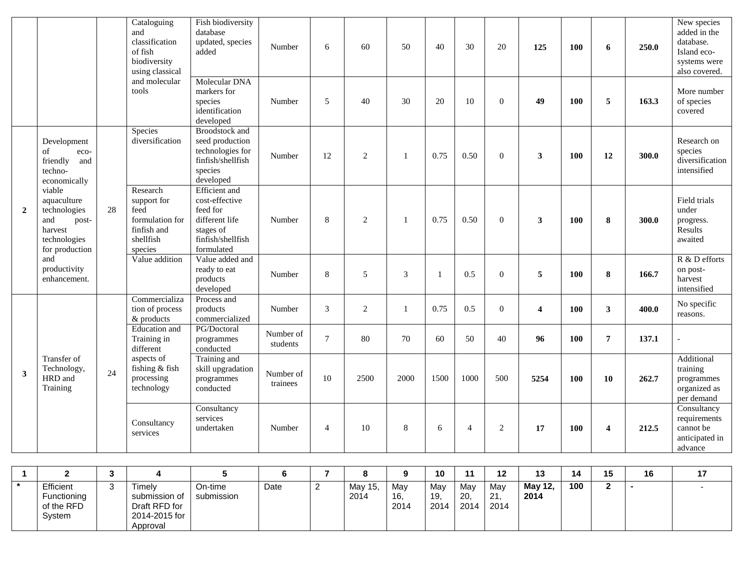|                |                                                                                                                                           | and<br>of fish<br>tools |                                                                                                                                        |                                                                                                                      |                       |                |                | Cataloguing<br>classification<br>biodiversity<br>using classical | Fish biodiversity<br>database<br>updated, species<br>added | Number         | 6              | 60                      | 50         | 40                      | 30    | 20                                                                    | 125 | 100 | 6 | 250.0 | New species<br>added in the<br>database.<br>Island eco-<br>systems were<br>also covered. |
|----------------|-------------------------------------------------------------------------------------------------------------------------------------------|-------------------------|----------------------------------------------------------------------------------------------------------------------------------------|----------------------------------------------------------------------------------------------------------------------|-----------------------|----------------|----------------|------------------------------------------------------------------|------------------------------------------------------------|----------------|----------------|-------------------------|------------|-------------------------|-------|-----------------------------------------------------------------------|-----|-----|---|-------|------------------------------------------------------------------------------------------|
|                |                                                                                                                                           |                         | and molecular                                                                                                                          | Molecular DNA<br>markers for<br>species<br>identification<br>developed                                               | Number                | 5              | 40             | 30                                                               | 20                                                         | 10             | $\Omega$       | 49                      | <b>100</b> | 5                       | 163.3 | More number<br>of species<br>covered                                  |     |     |   |       |                                                                                          |
|                | Development<br>of<br>eco-<br>friendly<br>and<br>techno-<br>economically                                                                   |                         | Species<br>diversification                                                                                                             | <b>Broodstock</b> and<br>seed production<br>technologies for<br>finfish/shellfish<br>species<br>developed            | Number                | 12             | $\overline{2}$ | 1                                                                | 0.75                                                       | 0.50           | $\overline{0}$ | 3                       | <b>100</b> | 12                      | 300.0 | Research on<br>species<br>diversification<br>intensified              |     |     |   |       |                                                                                          |
| $\overline{2}$ | viable<br>aquaculture<br>technologies<br>and<br>post-<br>harvest<br>technologies<br>for production<br>and<br>productivity<br>enhancement. | 28                      | Research<br>support for<br>feed<br>formulation for<br>finfish and<br>shellfish<br>species                                              | <b>Efficient</b> and<br>cost-effective<br>feed for<br>different life<br>stages of<br>finfish/shellfish<br>formulated | Number                | 8              | $\overline{2}$ | 1                                                                | 0.75                                                       | 0.50           | $\theta$       | $\mathbf{3}$            | 100        | 8                       | 300.0 | Field trials<br>under<br>progress.<br>Results<br>awaited              |     |     |   |       |                                                                                          |
|                |                                                                                                                                           |                         | Value addition                                                                                                                         | Value added and<br>ready to eat<br>products<br>developed                                                             | Number                | 8              | 5              | 3                                                                | $\overline{1}$                                             | 0.5            | $\Omega$       | 5                       | <b>100</b> | 8                       | 166.7 | R & D efforts<br>on post-<br>harvest<br>intensified                   |     |     |   |       |                                                                                          |
|                |                                                                                                                                           |                         | Commercializa<br>tion of process<br>& products                                                                                         | Process and<br>products<br>commercialized                                                                            | Number                | 3              | $\overline{2}$ | 1                                                                | 0.75                                                       | 0.5            | $\theta$       | $\overline{\mathbf{4}}$ | 100        | 3                       | 400.0 | No specific<br>reasons.                                               |     |     |   |       |                                                                                          |
|                |                                                                                                                                           |                         | Education and<br>Training in<br>different<br>aspects of<br>fishing & fish<br>24<br>processing<br>technology<br>Consultancy<br>services | PG/Doctoral<br>programmes<br>conducted                                                                               | Number of<br>students | $\tau$         | 80             | 70                                                               | 60                                                         | 50             | 40             | 96                      | 100        | $\overline{7}$          | 137.1 |                                                                       |     |     |   |       |                                                                                          |
| 3              | Transfer of<br>Technology,<br>HRD and<br>Training                                                                                         |                         |                                                                                                                                        | Training and<br>skill upgradation<br>programmes<br>conducted                                                         | Number of<br>trainees | 10             | 2500           | 2000                                                             | 1500                                                       | 1000           | 500            | 5254                    | 100        | 10                      | 262.7 | Additional<br>training<br>programmes<br>organized as<br>per demand    |     |     |   |       |                                                                                          |
|                |                                                                                                                                           |                         |                                                                                                                                        | Consultancy<br>services<br>undertaken                                                                                | Number                | $\overline{4}$ | 10             | 8                                                                | 6                                                          | $\overline{4}$ | 2              | 17                      | 100        | $\overline{\mathbf{4}}$ | 212.5 | Consultancy<br>requirements<br>cannot be<br>anticipated in<br>advance |     |     |   |       |                                                                                          |

|             | ∽  |               |            |      |         |      | 10   | $\ddot{\phantom{1}}$ | 12   | 49<br>ּ⊌ | 14  | 15<br>ιJ | 16 |  |
|-------------|----|---------------|------------|------|---------|------|------|----------------------|------|----------|-----|----------|----|--|
| Efficient   | ده | Timely        | On-time    | Date | May 15, | Mav  | May  | May                  | May  | May 12,  | 100 |          |    |  |
| Functioning |    | submission of | submission |      | 2014    | 16.  | 19.  | 20.                  | -21. | 2014     |     |          |    |  |
| of the RFD  |    | Draft RFD for |            |      |         | 2014 | 2014 | 2014                 | 2014 |          |     |          |    |  |
| System      |    | 2014-2015 for |            |      |         |      |      |                      |      |          |     |          |    |  |
|             |    | Approval      |            |      |         |      |      |                      |      |          |     |          |    |  |